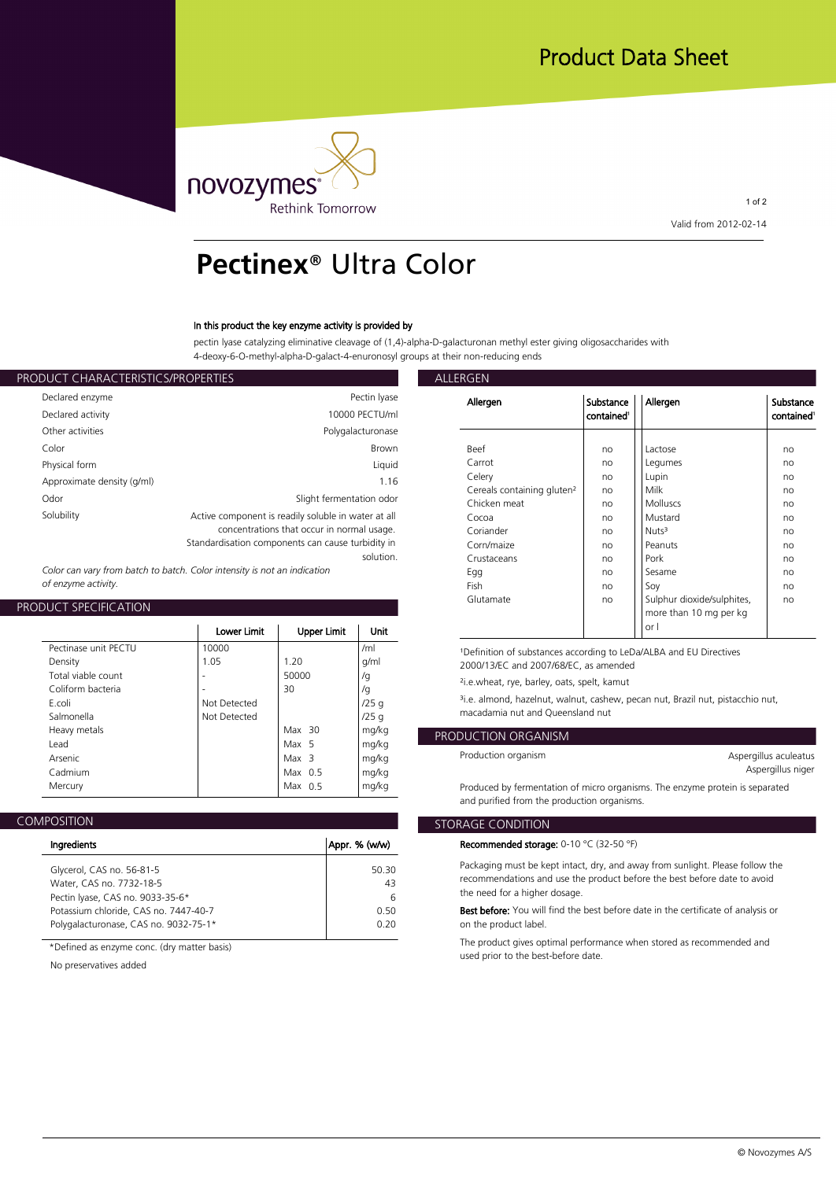

1 of 2 **Valid from 2012-02-14**

# **Pectinex**® Ultra Color

### **In this product the key enzyme activity is provided by**

**pectin lyase catalyzing eliminative cleavage of (1,4)-alpha-D-galacturonan methyl ester giving oligosaccharides with 4-deoxy-6-O-methyl-alpha-D-galact-4-enuronosyl groups at their non-reducing ends**

| ALLERGEN                                         |                                                                                                                                                        | PRODUCT CHARACTERISTICS/PROPERTIES |
|--------------------------------------------------|--------------------------------------------------------------------------------------------------------------------------------------------------------|------------------------------------|
| Allergen                                         | Pectin Iyase                                                                                                                                           | Declared enzyme                    |
|                                                  | 10000 PECTU/ml                                                                                                                                         | Declared activity                  |
|                                                  | Polygalacturonase                                                                                                                                      | Other activities                   |
| <b>Beef</b>                                      | <b>Brown</b>                                                                                                                                           | Color                              |
| Carrot                                           | Liquid                                                                                                                                                 | Physical form                      |
| Celery<br>Cereals containi                       | 1.16<br>Slight fermentation odor                                                                                                                       | Approximate density (g/ml)<br>Odor |
| Chicken meat<br>Cocoa<br>Coriander<br>Corn/maize | Active component is readily soluble in water at all<br>concentrations that occur in normal usage.<br>Standardisation components can cause turbidity in | Solubility                         |
| Crustaceans                                      | solution.                                                                                                                                              |                                    |

*Color can vary from batch to batch. Color intensity is not an indication of enzyme activity.*

## **PRODUCT SPECIFICATION**

|                                                                                                    | Lower Limit                                   | Upper Limit                                                     | Unit                                      | or l                                                                                                                                                                                                                                                                                                                                    |
|----------------------------------------------------------------------------------------------------|-----------------------------------------------|-----------------------------------------------------------------|-------------------------------------------|-----------------------------------------------------------------------------------------------------------------------------------------------------------------------------------------------------------------------------------------------------------------------------------------------------------------------------------------|
| Pectinase unit PFCTU<br>Density<br>Total viable count<br>Coliform bacteria<br>E.coli<br>Salmonella | 10000<br>1.05<br>Not Detected<br>Not Detected | 1.20<br>50000<br>30                                             | /ml<br>g/ml<br>/g<br>/g<br>/25q<br>/25q   | <sup>1</sup> Definition of substances according to LeDa/ALBA and EU<br>2000/13/EC and 2007/68/EC, as amended<br><sup>2</sup> i.e.wheat, rye, barley, oats, spelt, kamut<br><sup>3</sup> i.e. almond, hazelnut, walnut, cashew, pecan nut, Brazil<br>macadamia nut and Oueensland nut                                                    |
| Heavy metals<br>Lead<br>Arsenic<br>Cadmium<br>Mercury                                              |                                               | Max $30$<br>Max 5<br>Max <sub>3</sub><br>Max $0.5$<br>Max $0.5$ | mg/kg<br>mg/kg<br>mg/kg<br>mg/kg<br>mg/kg | PRODUCTION ORGANISM<br>Production organism<br>Produced by fermentation of micro organisms. The enzym<br>$\sim$ . The contract of the contract of the contract of the contract of the contract of the contract of the contract of the contract of the contract of the contract of the contract of the contract of the contract of the co |

### **COMPOSITION**

| Appr. % (w/w) |
|---------------|
| 50.30         |
| 43            |
| 6             |
| O 50          |
| 0.20          |
|               |

**\*Defined as enzyme conc. (dry matter basis)**

**No preservatives added**

| Allergen                               | Substance<br>contained <sup>1</sup> | Allergen                   | Substance<br>contained <sup>1</sup> |
|----------------------------------------|-------------------------------------|----------------------------|-------------------------------------|
| Beef                                   | no                                  | Lactose                    | no                                  |
| Carrot                                 | no                                  | Legumes                    | no                                  |
| Celery                                 | no                                  | Lupin                      | no                                  |
| Cereals containing gluten <sup>2</sup> | no                                  | Milk                       | no                                  |
| Chicken meat                           | no                                  | <b>Molluscs</b>            | no                                  |
| Cocoa                                  | no                                  | Mustard                    | no                                  |
| Coriander                              | no                                  | Nuts <sup>3</sup>          | no                                  |
| Corn/maize                             | no                                  | Peanuts                    | no                                  |
| Crustaceans                            | no                                  | Pork                       | no                                  |
| Egg                                    | no                                  | Sesame                     | no                                  |
| Fish                                   | no                                  | Soy                        | no                                  |
| Glutamate                              | no                                  | Sulphur dioxide/sulphites, | no                                  |
|                                        |                                     | more than 10 mg per kg     |                                     |
|                                        |                                     | or I                       |                                     |

**¹Definition of substances according to LeDa/ALBA and EU Directives** 

**/25 g ³i.e. almond, hazelnut, walnut, cashew, pecan nut, Brazil nut, pistacchio nut, /25 g macadamia nut and Queensland nut**

# **mg/kg PRODUCTION ORGANISM**

| Aspergillus aculeatus |  |
|-----------------------|--|
| Aspergillus niger     |  |

**mg/kg Produced by fermentation of micro organisms. The enzyme protein is separated and purified from the production organisms.**

## **STORAGE CONDITION**

**Recommended storage: 0-10 °C (32-50 °F)**

**50.30 Packaging must be kept intact, dry, and away from sunlight. Please follow the 43 recommendations and use the product before the best before date to avoid 6 the need for a higher dosage.**

**0.50 Best before: You will find the best before date in the certificate of analysis or 0.20 on the product label.**

> **The product gives optimal performance when stored as recommended and used prior to the best-before date.**